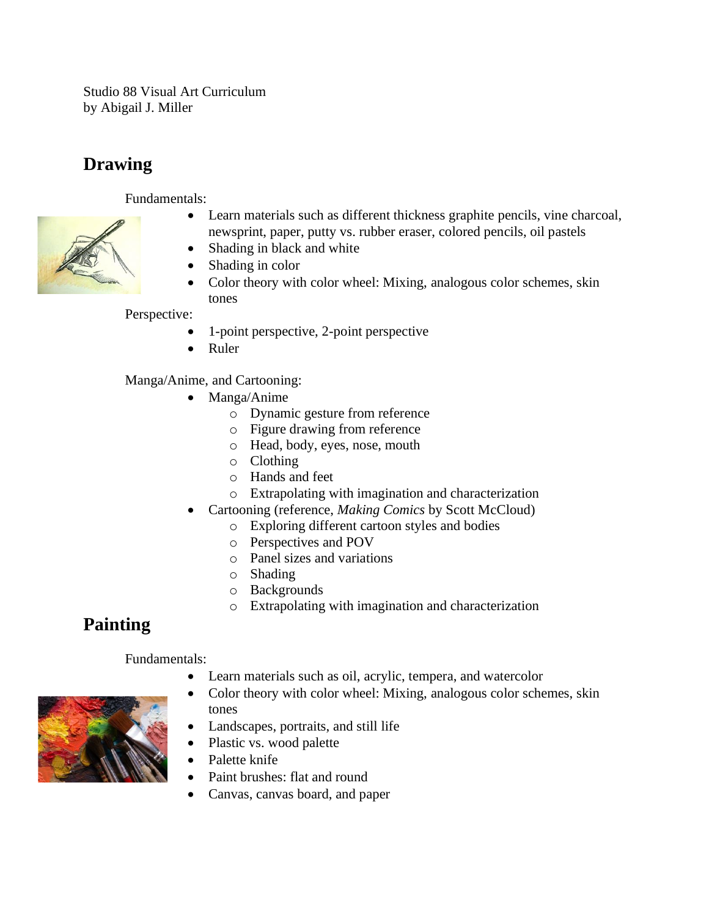Studio 88 Visual Art Curriculum by Abigail J. Miller

## **Drawing**

Fundamentals:



- Learn materials such as different thickness graphite pencils, vine charcoal, newsprint, paper, putty vs. rubber eraser, colored pencils, oil pastels
- Shading in black and white
- Shading in color
- Color theory with color wheel: Mixing, analogous color schemes, skin tones

Perspective:

- 1-point perspective, 2-point perspective
- Ruler

Manga/Anime, and Cartooning:

- Manga/Anime
	- o Dynamic gesture from reference
	- o Figure drawing from reference
	- o Head, body, eyes, nose, mouth
	- o Clothing
	- o Hands and feet
	- o Extrapolating with imagination and characterization
- Cartooning (reference, *Making Comics* by Scott McCloud)
	- o Exploring different cartoon styles and bodies
	- o Perspectives and POV
	- o Panel sizes and variations
	- o Shading
	- o Backgrounds
	- o Extrapolating with imagination and characterization

## **Painting**

## Fundamentals:

- Learn materials such as oil, acrylic, tempera, and watercolor
- Color theory with color wheel: Mixing, analogous color schemes, skin tones
- Landscapes, portraits, and still life
- Plastic vs. wood palette
- Palette knife
- Paint brushes: flat and round
- Canvas, canvas board, and paper

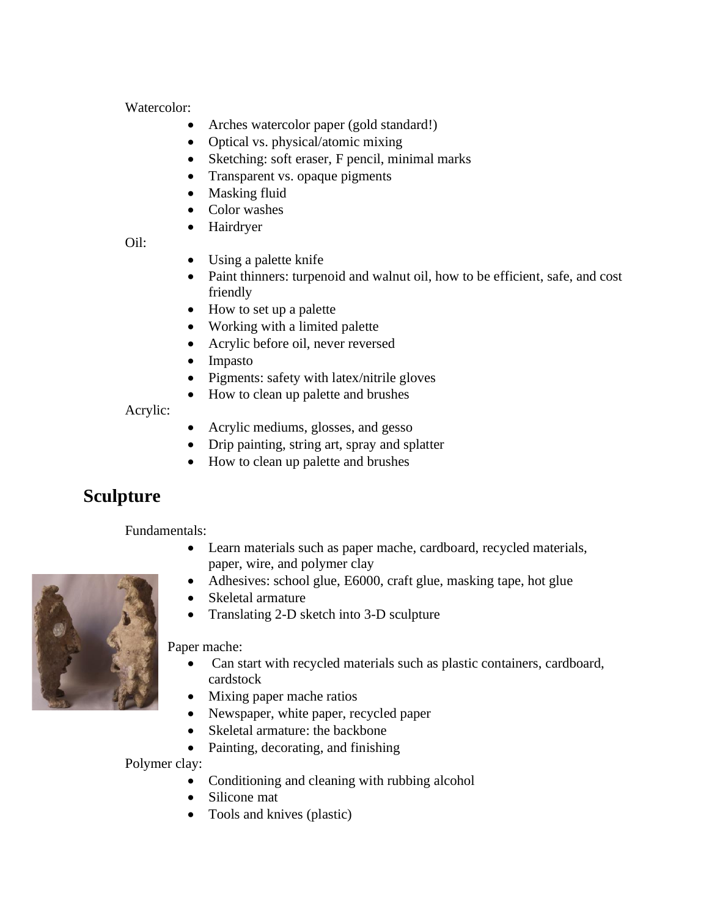Watercolor:

- Arches watercolor paper (gold standard!)
- Optical vs. physical/atomic mixing
- Sketching: soft eraser, F pencil, minimal marks
- Transparent vs. opaque pigments
- Masking fluid
- Color washes
- Hairdryer

Oil:

- Using a palette knife
- Paint thinners: turpenoid and walnut oil, how to be efficient, safe, and cost friendly
- How to set up a palette
- Working with a limited palette
- Acrylic before oil, never reversed
- Impasto
- Pigments: safety with latex/nitrile gloves
- How to clean up palette and brushes

Acrylic:

- Acrylic mediums, glosses, and gesso
- Drip painting, string art, spray and splatter
- How to clean up palette and brushes

## **Sculpture**

Fundamentals:

- Learn materials such as paper mache, cardboard, recycled materials, paper, wire, and polymer clay
- Adhesives: school glue, E6000, craft glue, masking tape, hot glue
- Skeletal armature
- Translating 2-D sketch into 3-D sculpture

Paper mache:

- Can start with recycled materials such as plastic containers, cardboard, cardstock
- Mixing paper mache ratios
- Newspaper, white paper, recycled paper
- Skeletal armature: the backbone
- Painting, decorating, and finishing

Polymer clay:

- Conditioning and cleaning with rubbing alcohol
- Silicone mat
- Tools and knives (plastic)